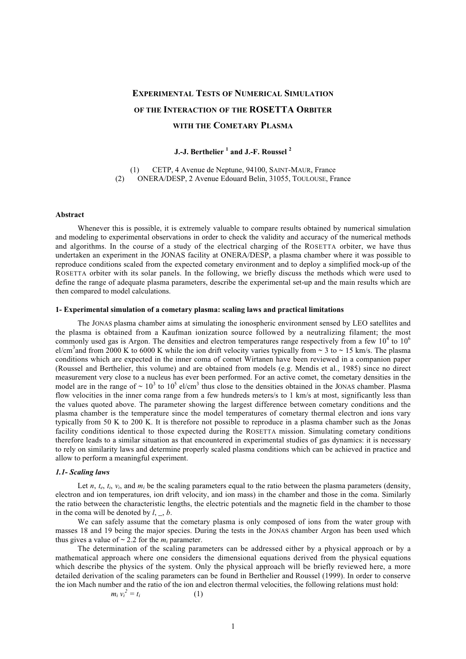# **EXPERIMENTAL TESTS OF NUMERICAL SIMULATION OF THE INTERACTION OF THE ROSETTA ORBITER WITH THE COMETARY PLASMA**

# **J.-J. Berthelier <sup>1</sup> and J.-F. Roussel <sup>2</sup>**

(1) CETP, 4 Avenue de Neptune, 94100, SAINT-MAUR, France (2) ONERA/DESP, 2 Avenue Edouard Belin, 31055, TOULOUSE, France

### **Abstract**

Whenever this is possible, it is extremely valuable to compare results obtained by numerical simulation and modeling to experimental observations in order to check the validity and accuracy of the numerical methods and algorithms. In the course of a study of the electrical charging of the ROSETTA orbiter, we have thus undertaken an experiment in the JONAS facility at ONERA/DESP, a plasma chamber where it was possible to reproduce conditions scaled from the expected cometary environment and to deploy a simplified mock-up of the ROSETTA orbiter with its solar panels. In the following, we briefly discuss the methods which were used to define the range of adequate plasma parameters, describe the experimental set-up and the main results which are then compared to model calculations.

## **1- Experimental simulation of a cometary plasma: scaling laws and practical limitations**

The JONAS plasma chamber aims at simulating the ionospheric environment sensed by LEO satellites and the plasma is obtained from a Kaufman ionization source followed by a neutralizing filament; the most commonly used gas is Argon. The densities and electron temperatures range respectively from a few  $10^4$  to  $10^6$ el/cm<sup>3</sup> and from 2000 K to 6000 K while the ion drift velocity varies typically from  $\sim$  3 to  $\sim$  15 km/s. The plasma conditions which are expected in the inner coma of comet Wirtanen have been reviewed in a companion paper (Roussel and Berthelier, this volume) and are obtained from models (e.g. Mendis et al., 1985) since no direct measurement very close to a nucleus has ever been performed. For an active comet, the cometary densities in the model are in the range of  $\sim 10^3$  to  $10^5$  el/cm<sup>3</sup> thus close to the densities obtained in the JONAS chamber. Plasma flow velocities in the inner coma range from a few hundreds meters/s to 1 km/s at most, significantly less than the values quoted above. The parameter showing the largest difference between cometary conditions and the plasma chamber is the temperature since the model temperatures of cometary thermal electron and ions vary typically from 50 K to 200 K. It is therefore not possible to reproduce in a plasma chamber such as the Jonas facility conditions identical to those expected during the ROSETTA mission. Simulating cometary conditions therefore leads to a similar situation as that encountered in experimental studies of gas dynamics: it is necessary to rely on similarity laws and determine properly scaled plasma conditions which can be achieved in practice and allow to perform a meaningful experiment.

#### *1.1- Scaling laws*

Let *n*,  $t_e$ ,  $t_i$ ,  $v_i$ , and  $m_i$  be the scaling parameters equal to the ratio between the plasma parameters (density, electron and ion temperatures, ion drift velocity, and ion mass) in the chamber and those in the coma. Similarly the ratio between the characteristic lengths, the electric potentials and the magnetic field in the chamber to those in the coma will be denoted by *l*, *\_*, *b*.

We can safely assume that the cometary plasma is only composed of ions from the water group with masses 18 and 19 being the major species. During the tests in the JONAS chamber Argon has been used which thus gives a value of  $\sim$  2.2 for the  $m_i$  parameter.

The determination of the scaling parameters can be addressed either by a physical approach or by a mathematical approach where one considers the dimensional equations derived from the physical equations which describe the physics of the system. Only the physical approach will be briefly reviewed here, a more detailed derivation of the scaling parameters can be found in Berthelier and Roussel (1999). In order to conserve the ion Mach number and the ratio of the ion and electron thermal velocities, the following relations must hold:

$$
m_i v_i^2 = t_i \tag{1}
$$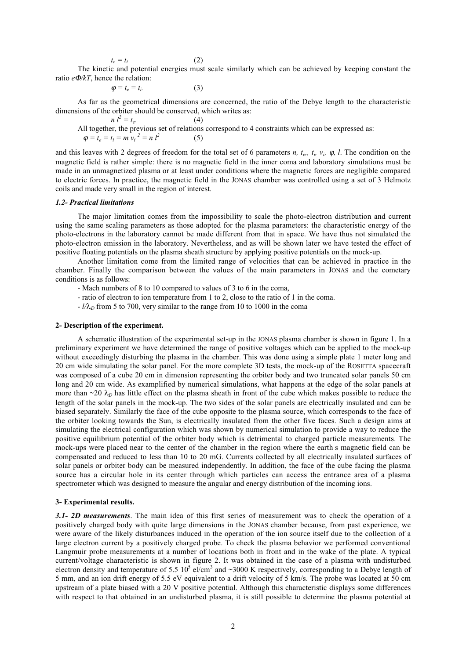$$
t_e = t_i \tag{2}
$$

The kinetic and potential energies must scale similarly which can be achieved by keeping constant the ratio *e*Φ*/kT*, hence the relation:

$$
\varphi = t_e = t_i. \tag{3}
$$

As far as the geometrical dimensions are concerned, the ratio of the Debye length to the characteristic dimensions of the orbiter should be conserved, which writes as:

 $n l^2 = t_e.$  (4) All together, the previous set of relations correspond to 4 constraints which can be expressed as:  $\varphi = t_e = t_i = m v_i^2 = n l^2$  (5)

and this leaves with 2 degrees of freedom for the total set of 6 parameters  $n$ ,  $t_e$ ,  $t_i$ ,  $v_i$ ,  $\varphi$ ,  $l$ . The condition on the magnetic field is rather simple: there is no magnetic field in the inner coma and laboratory simulations must be made in an unmagnetized plasma or at least under conditions where the magnetic forces are negligible compared to electric forces. In practice, the magnetic field in the JONAS chamber was controlled using a set of 3 Helmotz coils and made very small in the region of interest.

# *1.2- Practical limitations*

The major limitation comes from the impossibility to scale the photo-electron distribution and current using the same scaling parameters as those adopted for the plasma parameters: the characteristic energy of the photo-electrons in the laboratory cannot be made different from that in space. We have thus not simulated the photo-electron emission in the laboratory. Nevertheless, and as will be shown later we have tested the effect of positive floating potentials on the plasma sheath structure by applying positive potentials on the mock-up.

Another limitation come from the limited range of velocities that can be achieved in practice in the chamber. Finally the comparison between the values of the main parameters in JONAS and the cometary conditions is as follows:

- Mach numbers of 8 to 10 compared to values of 3 to 6 in the coma,

- ratio of electron to ion temperature from 1 to 2, close to the ratio of 1 in the coma.
- $l/\lambda_D$  from 5 to 700, very similar to the range from 10 to 1000 in the coma

# **2- Description of the experiment.**

A schematic illustration of the experimental set-up in the JONAS plasma chamber is shown in figure 1. In a preliminary experiment we have determined the range of positive voltages which can be applied to the mock-up without exceedingly disturbing the plasma in the chamber. This was done using a simple plate 1 meter long and 20 cm wide simulating the solar panel. For the more complete 3D tests, the mock-up of the ROSETTA spacecraft was composed of a cube 20 cm in dimension representing the orbiter body and two truncated solar panels 50 cm long and 20 cm wide. As examplified by numerical simulations, what happens at the edge of the solar panels at more than  $\sim$ 20  $\lambda$ <sub>D</sub> has little effect on the plasma sheath in front of the cube which makes possible to reduce the length of the solar panels in the mock-up. The two sides of the solar panels are electrically insulated and can be biased separately. Similarly the face of the cube opposite to the plasma source, which corresponds to the face of the orbiter looking towards the Sun, is electrically insulated from the other five faces. Such a design aims at simulating the electrical configuration which was shown by numerical simulation to provide a way to reduce the positive equilibrium potential of the orbiter body which is detrimental to charged particle measurements. The mock-ups were placed near to the center of the chamber in the region where the earth s magnetic field can be compensated and reduced to less than 10 to 20 mG. Currents collected by all electrically insulated surfaces of solar panels or orbiter body can be measured independently. In addition, the face of the cube facing the plasma source has a circular hole in its center through which particles can access the entrance area of a plasma spectrometer which was designed to measure the angular and energy distribution of the incoming ions.

#### **3- Experimental results.**

*3.1- 2D measurements*. The main idea of this first series of measurement was to check the operation of a positively charged body with quite large dimensions in the JONAS chamber because, from past experience, we were aware of the likely disturbances induced in the operation of the ion source itself due to the collection of a large electron current by a positively charged probe. To check the plasma behavior we performed conventional Langmuir probe measurements at a number of locations both in front and in the wake of the plate. A typical current/voltage characteristic is shown in figure 2. It was obtained in the case of a plasma with undisturbed electron density and temperature of 5.5  $10^5$  el/cm<sup>3</sup> and ~3000 K respectively, corresponding to a Debye length of 5 mm, and an ion drift energy of 5.5 eV equivalent to a drift velocity of 5 km/s. The probe was located at 50 cm upstream of a plate biased with a 20 V positive potential. Although this characteristic displays some differences with respect to that obtained in an undisturbed plasma, it is still possible to determine the plasma potential at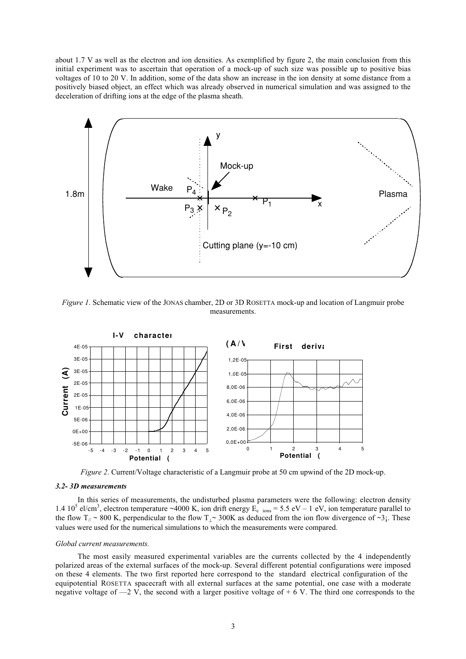about 1.7 V as well as the electron and ion densities. As exemplified by figure 2, the main conclusion from this initial experiment was to ascertain that operation of a mock-up of such size was possible up to positive bias voltages of 10 to 20 V. In addition, some of the data show an increase in the ion density at some distance from a positively biased object, an effect which was already observed in numerical simulation and was assigned to the deceleration of drifting ions at the edge of the plasma sheath.



*Figure 1*. Schematic view of the JONAS chamber, 2D or 3D ROSETTA mock-up and location of Langmuir probe measurements.



*Figure 2*. Current/Voltage characteristic of a Langmuir probe at 50 cm upwind of the 2D mock-up.

# *3.2- 3D measurements*

In this series of measurements, the undisturbed plasma parameters were the following: electron density 1.4 10<sup>5</sup> el/cm<sup>3</sup>, electron temperature ~4000 K, ion drift energy  $E_c$  <sub>ions</sub> = 5.5 eV – 1 eV, ion temperature parallel to the flow T<sub>//</sub> ~ 800 K, perpendicular to the flow T<sub>⊥</sub>~ 300K as deduced from the ion flow divergence of ~3<sub>i</sub>. These values were used for the numerical simulations to which the measurements were compared.

## *Global current measurements.*

The most easily measured experimental variables are the currents collected by the 4 independently polarized areas of the external surfaces of the mock-up. Several different potential configurations were imposed on these 4 elements. The two first reported here correspond to the standard electrical configuration of the equipotential ROSETTA spacecraft with all external surfaces at the same potential, one case with a moderate negative voltage of  $-2$  V, the second with a larger positive voltage of  $+ 6$  V. The third one corresponds to the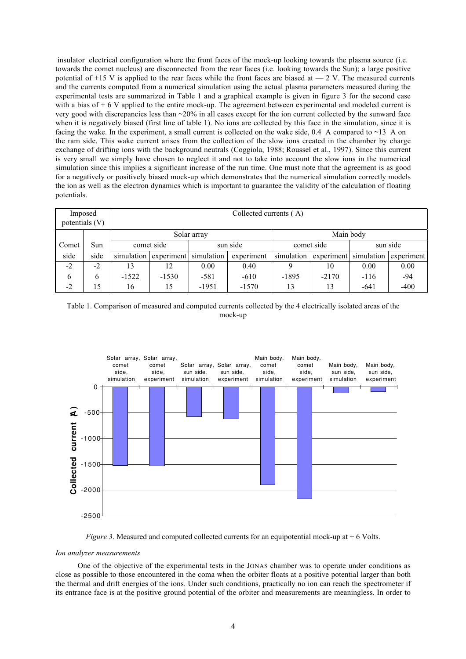insulator electrical configuration where the front faces of the mock-up looking towards the plasma source (i.e. towards the comet nucleus) are disconnected from the rear faces (i.e. looking towards the Sun); a large positive potential of  $+15$  V is applied to the rear faces while the front faces are biased at  $-2$  V. The measured currents and the currents computed from a numerical simulation using the actual plasma parameters measured during the experimental tests are summarized in Table 1 and a graphical example is given in figure 3 for the second case with a bias of  $+ 6$  V applied to the entire mock-up. The agreement between experimental and modeled current is very good with discrepancies less than ~20% in all cases except for the ion current collected by the sunward face when it is negatively biased (first line of table 1). No ions are collected by this face in the simulation, since it is facing the wake. In the experiment, a small current is collected on the wake side, 0.4 A compared to  $\sim$ 13 A on the ram side. This wake current arises from the collection of the slow ions created in the chamber by charge exchange of drifting ions with the background neutrals (Coggiola, 1988; Roussel et al., 1997). Since this current is very small we simply have chosen to neglect it and not to take into account the slow ions in the numerical simulation since this implies a significant increase of the run time. One must note that the agreement is as good for a negatively or positively biased mock-up which demonstrates that the numerical simulation correctly models the ion as well as the electron dynamics which is important to guarantee the validity of the calculation of floating potentials.

| Imposed<br>potentials (V) |      | Collected currents (A) |            |            |            |            |            |            |            |
|---------------------------|------|------------------------|------------|------------|------------|------------|------------|------------|------------|
|                           |      | Solar array            |            |            |            | Main body  |            |            |            |
| Comet                     | Sun  | comet side             |            | sun side   |            | comet side |            | sun side   |            |
| side                      | side | simulation             | experiment | simulation | experiment | simulation | experiment | simulation | experiment |
| $-2$                      | $-2$ | 13                     | 12         | 0.00       | 0.40       |            | 10         | 0.00       | 0.00       |
| 6                         | 6    | $-1522$                | $-1530$    | $-581$     | $-610$     | $-1895$    | $-2170$    | $-116$     | -94        |
| $-2$                      | 15   | 16                     | 15         | $-1951$    | $-1570$    | 13         | 13         | $-641$     | $-400$     |







## *Ion analyzer measurements*

One of the objective of the experimental tests in the JONAS chamber was to operate under conditions as close as possible to those encountered in the coma when the orbiter floats at a positive potential larger than both the thermal and drift energies of the ions. Under such conditions, practically no ion can reach the spectrometer if its entrance face is at the positive ground potential of the orbiter and measurements are meaningless. In order to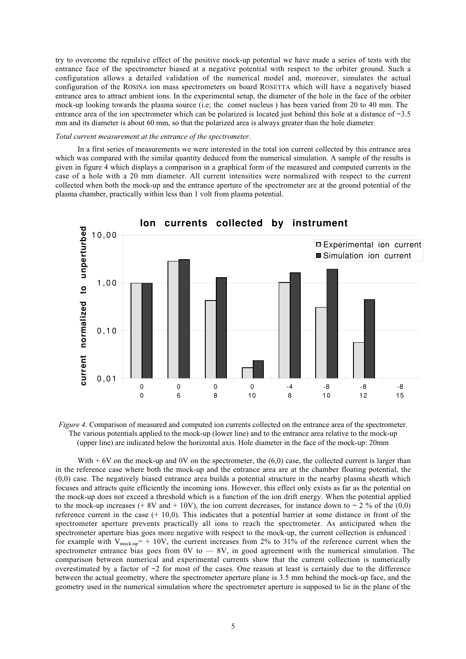try to overcome the repulsive effect of the positive mock-up potential we have made a series of tests with the entrance face of the spectrometer biased at a negative potential with respect to the orbiter ground. Such a configuration allows a detailed validation of the numerical model and, moreover, simulates the actual configuration of the ROSINA ion mass spectrometers on board ROSETTA which will have a negatively biased entrance area to attract ambient ions. In the experimental setup, the diameter of the hole in the face of the orbiter mock-up looking towards the plasma source (i.e; the comet nucleus ) has been varied from 20 to 40 mm. The entrance area of the ion spectrometer which can be polarized is located just behind this hole at a distance of  $\sim$ 3.5 mm and its diameter is about 60 mm, so that the polarized area is always greater than the hole diameter.

## *Total current measurement at the entrance of the spectrometer*.

In a first series of measurements we were interested in the total ion current collected by this entrance area which was compared with the similar quantity deduced from the numerical simulation. A sample of the results is given in figure 4 which displays a comparison in a graphical form of the measured and computed currents in the case of a hole with a 20 mm diameter. All current intensities were normalized with respect to the current collected when both the mock-up and the entrance aperture of the spectrometer are at the ground potential of the plasma chamber, practically within less than 1 volt from plasma potential.



*Figure 4*. Comparison of measured and computed ion currents collected on the entrance area of the spectrometer. The various potentials applied to the mock-up (lower line) and to the entrance area relative to the mock-up (upper line) are indicated below the horizontal axis. Hole diameter in the face of the mock-up: 20mm

With  $+ 6V$  on the mock-up and 0V on the spectrometer, the (6,0) case, the collected current is larger than in the reference case where both the mock-up and the entrance area are at the chamber floating potential, the (0,0) case. The negatively biased entrance area builds a potential structure in the nearby plasma sheath which focuses and attracts quite efficiently the incoming ions. However, this effect only exists as far as the potential on the mock-up does not exceed a threshold which is a function of the ion drift energy. When the potential applied to the mock-up increases (+ 8V and + 10V), the ion current decreases, for instance down to  $\sim$  2 % of the (0,0) reference current in the case  $(+ 10.0)$ . This indicates that a potential barrier at some distance in front of the spectrometer aperture prevents practically all ions to reach the spectrometer. As anticipated when the spectrometer aperture bias goes more negative with respect to the mock-up, the current collection is enhanced : for example with  $V_{\text{mock-up}}$  = + 10V, the current increases from 2% to 31% of the reference current when the spectrometer entrance bias goes from  $0V$  to  $-8V$ , in good agreement with the numerical simulation. The comparison between numerical and experimental currents show that the current collection is numerically overestimated by a factor of  $\sim$ 2 for most of the cases. One reason at least is certainly due to the difference between the actual geometry, where the spectrometer aperture plane is 3.5 mm behind the mock-up face, and the geometry used in the numerical simulation where the spectrometer aperture is supposed to lie in the plane of the